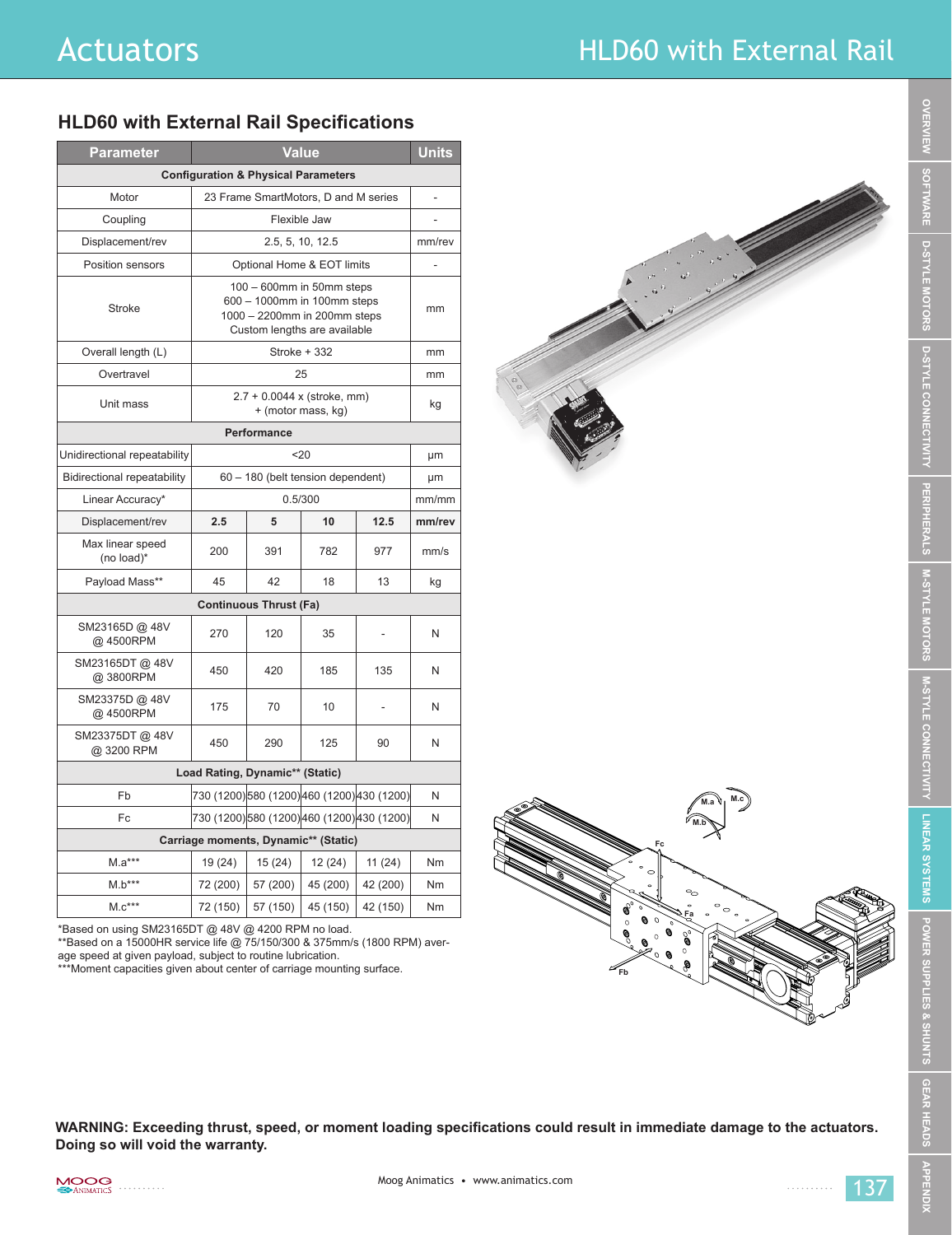## Actuators **Actuators HLD60** with External Rail

## **HLD60 with External Rail Specifications**

| <b>Parameter</b>                               | <b>Value</b>                                                                                                             |          |          |                | <b>Units</b> |
|------------------------------------------------|--------------------------------------------------------------------------------------------------------------------------|----------|----------|----------------|--------------|
| <b>Configuration &amp; Physical Parameters</b> |                                                                                                                          |          |          |                |              |
| Motor                                          | 23 Frame SmartMotors, D and M series                                                                                     |          |          |                |              |
| Coupling                                       | Flexible Jaw                                                                                                             |          |          |                |              |
| Displacement/rev                               | 2.5, 5, 10, 12.5                                                                                                         |          |          |                | mm/rev       |
| Position sensors                               | Optional Home & EOT limits                                                                                               |          |          |                |              |
| <b>Stroke</b>                                  | 100 - 600mm in 50mm steps<br>600 - 1000mm in 100mm steps<br>1000 - 2200mm in 200mm steps<br>Custom lengths are available |          |          |                | mm           |
| Overall length (L)                             | Stroke + 332                                                                                                             |          |          |                | mm           |
| Overtravel                                     | 25                                                                                                                       |          |          |                | mm           |
| Unit mass                                      | $2.7 + 0.0044$ x (stroke, mm)<br>+ (motor mass, kg)                                                                      |          |          |                | kg           |
| Performance                                    |                                                                                                                          |          |          |                |              |
| Unidirectional repeatability                   | $20$                                                                                                                     |          |          |                | μm           |
| <b>Bidirectional repeatability</b>             | 60 - 180 (belt tension dependent)                                                                                        |          |          |                | μm           |
| Linear Accuracy*                               | 0.5/300                                                                                                                  |          |          | mm/mm          |              |
| Displacement/rev                               | 2.5                                                                                                                      | 5        | 10       | 12.5           | mm/rev       |
| Max linear speed<br>(no load)*                 | 200                                                                                                                      | 391      | 782      | 977            | mm/s         |
| Payload Mass**                                 | 45                                                                                                                       | 42       | 18       | 13             | kg           |
| <b>Continuous Thrust (Fa)</b>                  |                                                                                                                          |          |          |                |              |
| SM23165D @ 48V<br>@ 4500RPM                    | 270                                                                                                                      | 120      | 35       | ٠              | N            |
| SM23165DT@48V<br>@3800RPM                      | 450                                                                                                                      | 420      | 185      | 135            | N            |
| SM23375D @ 48V<br>@4500RPM                     | 175                                                                                                                      | 70       | 10       | $\overline{a}$ | N            |
| SM23375DT@ 48V<br>@ 3200 RPM                   | 450                                                                                                                      | 290      | 125      | 90             | N            |
| Load Rating, Dynamic** (Static)                |                                                                                                                          |          |          |                |              |
| Fb                                             | 730 (1200)580 (1200)460 (1200)430 (1200)                                                                                 |          |          |                | N            |
| Fc                                             | 730 (1200)580 (1200)460 (1200)430 (1200)                                                                                 |          |          |                | N            |
| Carriage moments, Dynamic** (Static)           |                                                                                                                          |          |          |                |              |
| $M.a***$                                       | 19 (24)                                                                                                                  | 15(24)   | 12 (24)  | 11(24)         | Nm           |
| $M.b***$                                       | 72 (200)                                                                                                                 | 57 (200) | 45 (200) | 42 (200)       | Nm           |
| $M.c***$                                       | 72 (150)                                                                                                                 | 57 (150) | 45 (150) | 42 (150)       | Nm           |



\*Based on using SM23165DT @ 48V @ 4200 RPM no load.

\*\*Based on a 15000HR service life @ 75/150/300 & 375mm/s (1800 RPM) average speed at given payload, subject to routine lubrication.

\*\*\*Moment capacities given about center of carriage mounting surface.